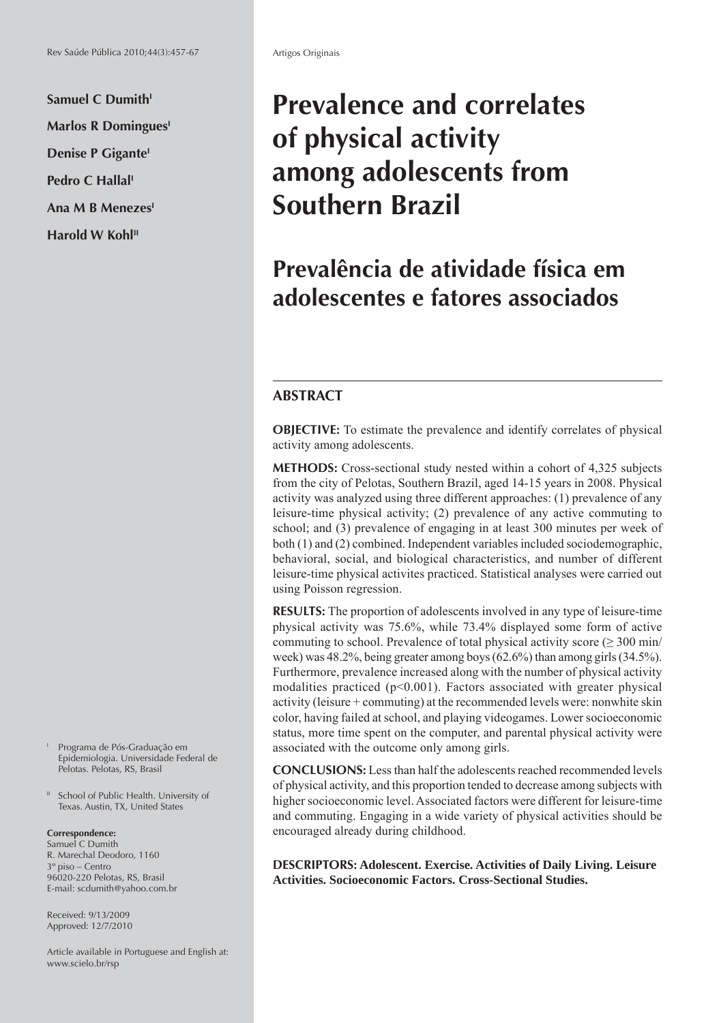**Samuel C Dumith<sup>1</sup> Marlos R Domingues<sup>1</sup> Denise P Gigante<sup>1</sup>** Pedro C Halla<sup>l</sup><sup>1</sup> Ana M B Menezes<sup>1</sup> Harold W Kohl<sup>II</sup>

- Programa de Pós-Graduação em Epidemiologia. Universidade Federal de Pelotas. Pelotas, RS, Brasil
- <sup>11</sup> School of Public Health. University of Texas. Austin, TX, United States

#### **Correspondence:** Samuel C Dumith

R. Marechal Deodoro, 1160 3º piso – Centro 96020-220 Pelotas, RS, Brasil E-mail: scdumith@yahoo.com.br

Received: 9/13/2009 Approved: 12/7/2010

Article available in Portuguese and English at: www.scielo.br/rsp

# **Prevalence and correlates of physical activity among adolescents from Southern Brazil**

## **Prevalência de atividade física em adolescentes e fatores associados**

### **ABSTRACT**

**OBJECTIVE:** To estimate the prevalence and identify correlates of physical activity among adolescents.

**METHODS:** Cross-sectional study nested within a cohort of 4,325 subjects from the city of Pelotas, Southern Brazil, aged 14-15 years in 2008. Physical activity was analyzed using three different approaches: (1) prevalence of any leisure-time physical activity; (2) prevalence of any active commuting to school; and (3) prevalence of engaging in at least 300 minutes per week of both (1) and (2) combined. Independent variables included sociodemographic, behavioral, social, and biological characteristics, and number of different leisure-time physical activites practiced. Statistical analyses were carried out using Poisson regression.

**RESULTS:** The proportion of adolescents involved in any type of leisure-time physical activity was 75.6%, while 73.4% displayed some form of active commuting to school. Prevalence of total physical activity score ( $\geq 300$  min/ week) was 48.2%, being greater among boys (62.6%) than among girls (34.5%). Furthermore, prevalence increased along with the number of physical activity modalities practiced ( $p<0.001$ ). Factors associated with greater physical activity (leisure + commuting) at the recommended levels were: nonwhite skin color, having failed at school, and playing videogames. Lower socioeconomic status, more time spent on the computer, and parental physical activity were associated with the outcome only among girls.

**CONCLUSIONS:** Less than half the adolescents reached recommended levels of physical activity, and this proportion tended to decrease among subjects with higher socioeconomic level. Associated factors were different for leisure-time and commuting. Engaging in a wide variety of physical activities should be encouraged already during childhood.

**DESCRIPTORS: Adolescent. Exercise. Activities of Daily Living. Leisure Activities. Socioeconomic Factors. Cross-Sectional Studies.**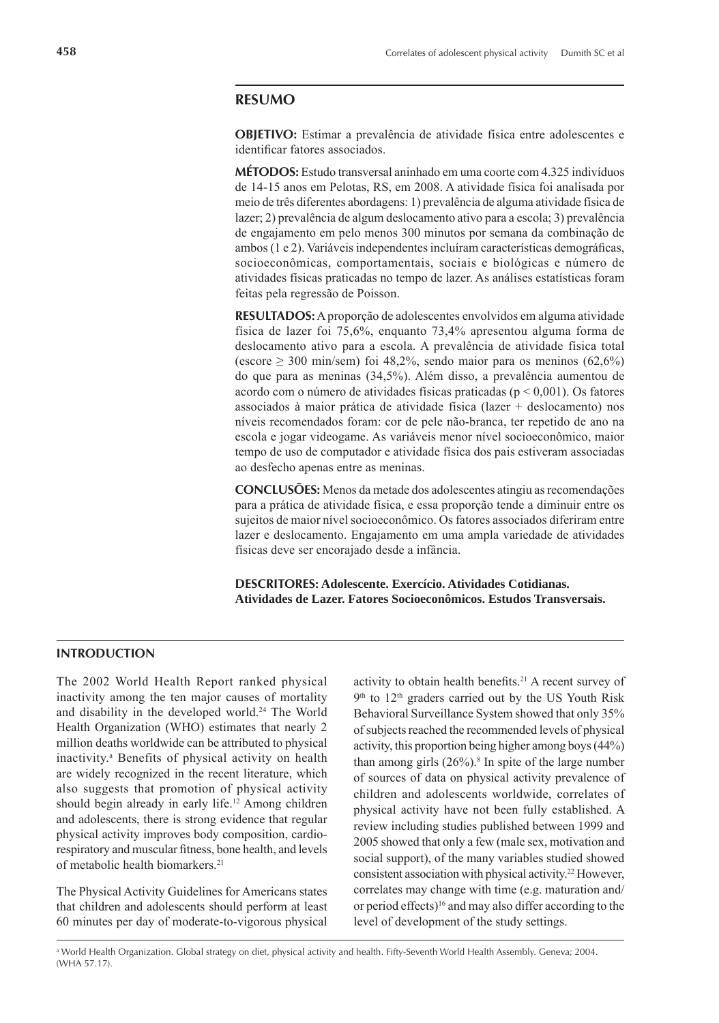#### **RESUMO**

**OBJETIVO:** Estimar a prevalência de atividade física entre adolescentes e identificar fatores associados.

**MÉTODOS:** Estudo transversal aninhado em uma coorte com 4.325 indivíduos de 14-15 anos em Pelotas, RS, em 2008. A atividade física foi analisada por meio de três diferentes abordagens: 1) prevalência de alguma atividade física de lazer; 2) prevalência de algum deslocamento ativo para a escola; 3) prevalência de engajamento em pelo menos 300 minutos por semana da combinação de ambos (1 e 2). Variáveis independentes incluíram características demográficas, socioeconômicas, comportamentais, sociais e biológicas e número de atividades físicas praticadas no tempo de lazer. As análises estatísticas foram feitas pela regressão de Poisson.

**RESULTADOS:** A proporção de adolescentes envolvidos em alguma atividade física de lazer foi 75,6%, enquanto 73,4% apresentou alguma forma de deslocamento ativo para a escola. A prevalência de atividade física total (escore  $\geq$  300 min/sem) foi 48,2%, sendo maior para os meninos (62,6%) do que para as meninas (34,5%). Além disso, a prevalência aumentou de acordo com o número de atividades físicas praticadas (p < 0,001). Os fatores associados à maior prática de atividade física (lazer + deslocamento) nos níveis recomendados foram: cor de pele não-branca, ter repetido de ano na escola e jogar videogame. As variáveis menor nível socioeconômico, maior tempo de uso de computador e atividade física dos pais estiveram associadas ao desfecho apenas entre as meninas.

**CONCLUSÕES:** Menos da metade dos adolescentes atingiu as recomendações para a prática de atividade física, e essa proporção tende a diminuir entre os sujeitos de maior nível socioeconômico. Os fatores associados diferiram entre lazer e deslocamento. Engajamento em uma ampla variedade de atividades físicas deve ser encorajado desde a infância.

**DESCRITORES: Adolescente. Exercício. Atividades Cotidianas. Atividades de Lazer. Fatores Socioeconômicos. Estudos Transversais.**

#### **INTRODUCTION**

The 2002 World Health Report ranked physical inactivity among the ten major causes of mortality and disability in the developed world.<sup>24</sup> The World Health Organization (WHO) estimates that nearly 2 million deaths worldwide can be attributed to physical inactivity.<sup>a</sup> Benefits of physical activity on health are widely recognized in the recent literature, which also suggests that promotion of physical activity should begin already in early life.<sup>12</sup> Among children and adolescents, there is strong evidence that regular physical activity improves body composition, cardiorespiratory and muscular fitness, bone health, and levels of metabolic health biomarkers<sup>21</sup>

The Physical Activity Guidelines for Americans states that children and adolescents should perform at least 60 minutes per day of moderate-to-vigorous physical

activity to obtain health benefits.<sup>21</sup> A recent survey of  $9<sup>th</sup>$  to  $12<sup>th</sup>$  graders carried out by the US Youth Risk Behavioral Surveillance System showed that only 35% of subjects reached the recommended levels of physical activity, this proportion being higher among boys (44%) than among girls  $(26%)$ .<sup>8</sup> In spite of the large number of sources of data on physical activity prevalence of children and adolescents worldwide, correlates of physical activity have not been fully established. A review including studies published between 1999 and 2005 showed that only a few (male sex, motivation and social support), of the many variables studied showed consistent association with physical activity.22 However, correlates may change with time (e.g. maturation and/ or period effects)16 and may also differ according to the level of development of the study settings.

a World Health Organization. Global strategy on diet, physical activity and health. Fifty-Seventh World Health Assembly. Geneva; 2004. (WHA 57.17).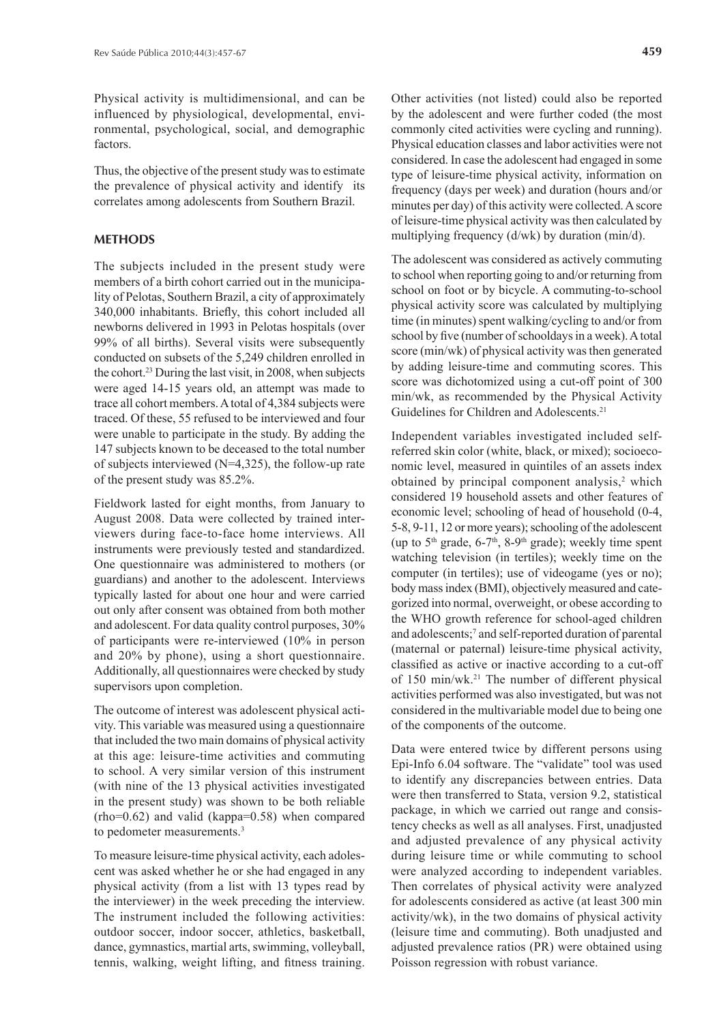Physical activity is multidimensional, and can be influenced by physiological, developmental, environmental, psychological, social, and demographic factors.

Thus, the objective of the present study was to estimate the prevalence of physical activity and identify its correlates among adolescents from Southern Brazil.

#### **METHODS**

The subjects included in the present study were members of a birth cohort carried out in the municipality of Pelotas, Southern Brazil, a city of approximately 340,000 inhabitants. Briefly, this cohort included all newborns delivered in 1993 in Pelotas hospitals (over 99% of all births). Several visits were subsequently conducted on subsets of the 5,249 children enrolled in the cohort.23 During the last visit, in 2008, when subjects were aged 14-15 years old, an attempt was made to trace all cohort members. A total of 4,384 subjects were traced. Of these, 55 refused to be interviewed and four were unable to participate in the study. By adding the 147 subjects known to be deceased to the total number of subjects interviewed (N=4,325), the follow-up rate of the present study was 85.2%.

Fieldwork lasted for eight months, from January to August 2008. Data were collected by trained interviewers during face-to-face home interviews. All instruments were previously tested and standardized. One questionnaire was administered to mothers (or guardians) and another to the adolescent. Interviews typically lasted for about one hour and were carried out only after consent was obtained from both mother and adolescent. For data quality control purposes, 30% of participants were re-interviewed (10% in person and 20% by phone), using a short questionnaire. Additionally, all questionnaires were checked by study supervisors upon completion.

The outcome of interest was adolescent physical activity. This variable was measured using a questionnaire that included the two main domains of physical activity at this age: leisure-time activities and commuting to school. A very similar version of this instrument (with nine of the 13 physical activities investigated in the present study) was shown to be both reliable (rho=0.62) and valid (kappa=0.58) when compared to pedometer measurements.<sup>3</sup>

To measure leisure-time physical activity, each adolescent was asked whether he or she had engaged in any physical activity (from a list with 13 types read by the interviewer) in the week preceding the interview. The instrument included the following activities: outdoor soccer, indoor soccer, athletics, basketball, dance, gymnastics, martial arts, swimming, volleyball, tennis, walking, weight lifting, and fitness training. Other activities (not listed) could also be reported by the adolescent and were further coded (the most commonly cited activities were cycling and running). Physical education classes and labor activities were not considered. In case the adolescent had engaged in some type of leisure-time physical activity, information on frequency (days per week) and duration (hours and/or minutes per day) of this activity were collected. A score of leisure-time physical activity was then calculated by multiplying frequency (d/wk) by duration (min/d).

The adolescent was considered as actively commuting to school when reporting going to and/or returning from school on foot or by bicycle. A commuting-to-school physical activity score was calculated by multiplying time (in minutes) spent walking/cycling to and/or from school by five (number of schooldays in a week). A total score (min/wk) of physical activity was then generated by adding leisure-time and commuting scores. This score was dichotomized using a cut-off point of 300 min/wk, as recommended by the Physical Activity Guidelines for Children and Adolescents.<sup>21</sup>

Independent variables investigated included selfreferred skin color (white, black, or mixed); socioeconomic level, measured in quintiles of an assets index obtained by principal component analysis,<sup>2</sup> which considered 19 household assets and other features of economic level; schooling of head of household (0-4, 5-8, 9-11, 12 or more years); schooling of the adolescent (up to  $5<sup>th</sup>$  grade, 6-7<sup>th</sup>, 8-9<sup>th</sup> grade); weekly time spent watching television (in tertiles); weekly time on the computer (in tertiles); use of videogame (yes or no); body mass index (BMI), objectively measured and categorized into normal, overweight, or obese according to the WHO growth reference for school-aged children and adolescents;<sup>7</sup> and self-reported duration of parental (maternal or paternal) leisure-time physical activity, classified as active or inactive according to a cut-off of 150 min/wk.21 The number of different physical activities performed was also investigated, but was not considered in the multivariable model due to being one of the components of the outcome.

Data were entered twice by different persons using Epi-Info 6.04 software. The "validate" tool was used to identify any discrepancies between entries. Data were then transferred to Stata, version 9.2, statistical package, in which we carried out range and consistency checks as well as all analyses. First, unadjusted and adjusted prevalence of any physical activity during leisure time or while commuting to school were analyzed according to independent variables. Then correlates of physical activity were analyzed for adolescents considered as active (at least 300 min activity/wk), in the two domains of physical activity (leisure time and commuting). Both unadjusted and adjusted prevalence ratios (PR) were obtained using Poisson regression with robust variance.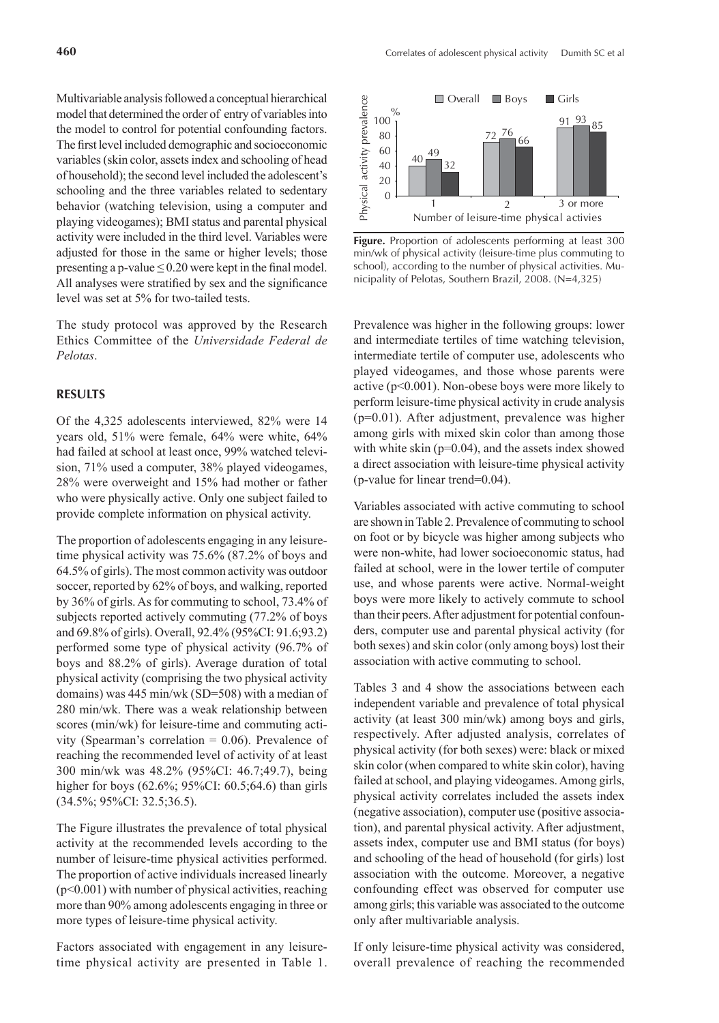Multivariable analysis followed a conceptual hierarchical model that determined the order of entry of variables into the model to control for potential confounding factors. The first level included demographic and socioeconomic variables (skin color, assets index and schooling of head of household); the second level included the adolescent's schooling and the three variables related to sedentary behavior (watching television, using a computer and playing videogames); BMI status and parental physical activity were included in the third level. Variables were adjusted for those in the same or higher levels; those presenting a p-value  $\leq 0.20$  were kept in the final model. All analyses were stratified by sex and the significance level was set at 5% for two-tailed tests.

The study protocol was approved by the Research Ethics Committee of the *Universidade Federal de Pelotas*.

#### **RESULTS**

Of the 4,325 adolescents interviewed, 82% were 14 years old, 51% were female, 64% were white, 64% had failed at school at least once, 99% watched television, 71% used a computer, 38% played videogames, 28% were overweight and 15% had mother or father who were physically active. Only one subject failed to provide complete information on physical activity.

The proportion of adolescents engaging in any leisuretime physical activity was 75.6% (87.2% of boys and 64.5% of girls). The most common activity was outdoor soccer, reported by 62% of boys, and walking, reported by 36% of girls. As for commuting to school, 73.4% of subjects reported actively commuting (77.2% of boys and 69.8% of girls). Overall, 92.4% (95%CI: 91.6;93.2) performed some type of physical activity (96.7% of boys and 88.2% of girls). Average duration of total physical activity (comprising the two physical activity domains) was 445 min/wk (SD=508) with a median of 280 min/wk. There was a weak relationship between scores (min/wk) for leisure-time and commuting activity (Spearman's correlation  $= 0.06$ ). Prevalence of reaching the recommended level of activity of at least 300 min/wk was 48.2% (95%CI: 46.7;49.7), being higher for boys (62.6%; 95%CI: 60.5;64.6) than girls (34.5%; 95%CI: 32.5;36.5).

The Figure illustrates the prevalence of total physical activity at the recommended levels according to the number of leisure-time physical activities performed. The proportion of active individuals increased linearly (p<0.001) with number of physical activities, reaching more than 90% among adolescents engaging in three or more types of leisure-time physical activity.

Factors associated with engagement in any leisuretime physical activity are presented in Table 1.



**Figure.** Proportion of adolescents performing at least 300 min/wk of physical activity (leisure-time plus commuting to school), according to the number of physical activities. Municipality of Pelotas, Southern Brazil, 2008. (N=4,325)

Prevalence was higher in the following groups: lower and intermediate tertiles of time watching television, intermediate tertile of computer use, adolescents who played videogames, and those whose parents were active  $(p<0.001)$ . Non-obese boys were more likely to perform leisure-time physical activity in crude analysis (p=0.01). After adjustment, prevalence was higher among girls with mixed skin color than among those with white skin  $(p=0.04)$ , and the assets index showed a direct association with leisure-time physical activity (p-value for linear trend=0.04).

Variables associated with active commuting to school are shown in Table 2. Prevalence of commuting to school on foot or by bicycle was higher among subjects who were non-white, had lower socioeconomic status, had failed at school, were in the lower tertile of computer use, and whose parents were active. Normal-weight boys were more likely to actively commute to school than their peers. After adjustment for potential confounders, computer use and parental physical activity (for both sexes) and skin color (only among boys) lost their association with active commuting to school.

Tables 3 and 4 show the associations between each independent variable and prevalence of total physical activity (at least 300 min/wk) among boys and girls, respectively. After adjusted analysis, correlates of physical activity (for both sexes) were: black or mixed skin color (when compared to white skin color), having failed at school, and playing videogames. Among girls, physical activity correlates included the assets index (negative association), computer use (positive association), and parental physical activity. After adjustment, assets index, computer use and BMI status (for boys) and schooling of the head of household (for girls) lost association with the outcome. Moreover, a negative confounding effect was observed for computer use among girls; this variable was associated to the outcome only after multivariable analysis.

If only leisure-time physical activity was considered, overall prevalence of reaching the recommended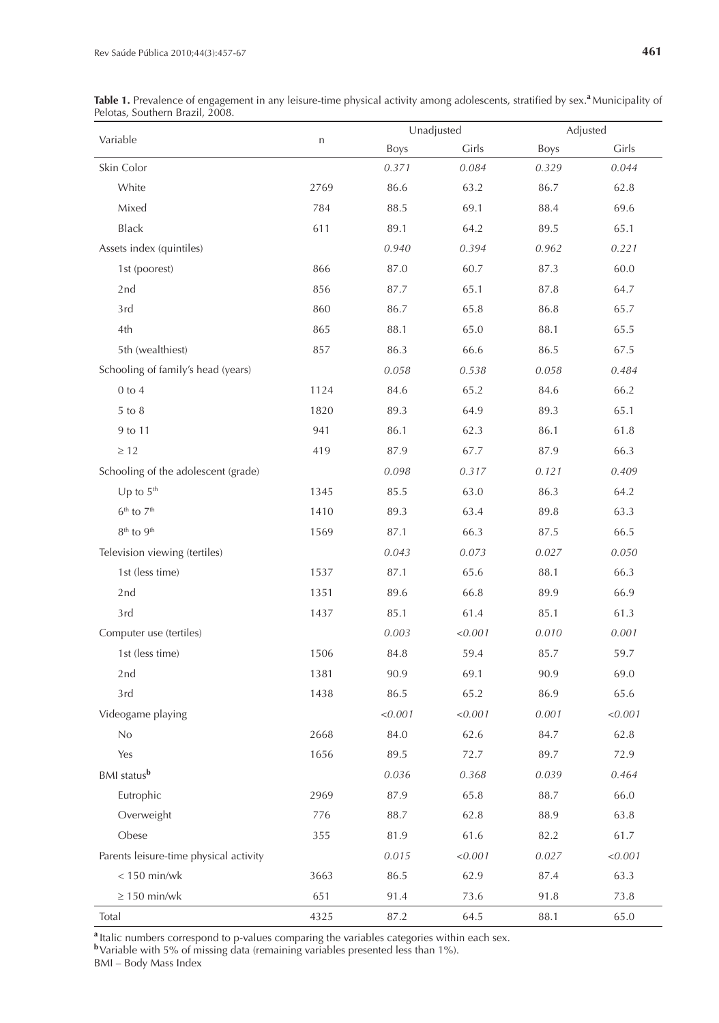| Table 1. Prevalence of engagement in any leisure-time physical activity among adolescents, stratified by sex. <sup>a</sup> Municipality of |  |  |
|--------------------------------------------------------------------------------------------------------------------------------------------|--|--|
| Pelotas, Southern Brazil, 2008.                                                                                                            |  |  |

|                                        |      |             | Unadjusted |       | Adjusted |  |
|----------------------------------------|------|-------------|------------|-------|----------|--|
| Variable                               | n    | <b>Boys</b> | Girls      | Boys  | Girls    |  |
| Skin Color                             |      | 0.371       | 0.084      | 0.329 | 0.044    |  |
| White                                  | 2769 | 86.6        | 63.2       | 86.7  | 62.8     |  |
| Mixed                                  | 784  | 88.5        | 69.1       | 88.4  | 69.6     |  |
| <b>Black</b>                           | 611  | 89.1        | 64.2       | 89.5  | 65.1     |  |
| Assets index (quintiles)               |      | 0.940       | 0.394      | 0.962 | 0.221    |  |
| 1st (poorest)                          | 866  | 87.0        | 60.7       | 87.3  | 60.0     |  |
| 2nd                                    | 856  | 87.7        | 65.1       | 87.8  | 64.7     |  |
| 3rd                                    | 860  | 86.7        | 65.8       | 86.8  | 65.7     |  |
| 4th                                    | 865  | 88.1        | 65.0       | 88.1  | 65.5     |  |
| 5th (wealthiest)                       | 857  | 86.3        | 66.6       | 86.5  | 67.5     |  |
| Schooling of family's head (years)     |      | 0.058       | 0.538      | 0.058 | 0.484    |  |
| $0$ to $4$                             | 1124 | 84.6        | 65.2       | 84.6  | 66.2     |  |
| 5 to 8                                 | 1820 | 89.3        | 64.9       | 89.3  | 65.1     |  |
| 9 to 11                                | 941  | 86.1        | 62.3       | 86.1  | 61.8     |  |
| $\geq 12$                              | 419  | 87.9        | 67.7       | 87.9  | 66.3     |  |
| Schooling of the adolescent (grade)    |      | 0.098       | 0.317      | 0.121 | 0.409    |  |
| Up to $5th$                            | 1345 | 85.5        | 63.0       | 86.3  | 64.2     |  |
| $6th$ to $7th$                         | 1410 | 89.3        | 63.4       | 89.8  | 63.3     |  |
| 8 <sup>th</sup> to 9 <sup>th</sup>     | 1569 | 87.1        | 66.3       | 87.5  | 66.5     |  |
| Television viewing (tertiles)          |      | 0.043       | 0.073      | 0.027 | 0.050    |  |
| 1st (less time)                        | 1537 | 87.1        | 65.6       | 88.1  | 66.3     |  |
| 2 <sub>nd</sub>                        | 1351 | 89.6        | 66.8       | 89.9  | 66.9     |  |
| 3rd                                    | 1437 | 85.1        | 61.4       | 85.1  | 61.3     |  |
| Computer use (tertiles)                |      | 0.003       | < 0.001    | 0.010 | 0.001    |  |
| 1st (less time)                        | 1506 | 84.8        | 59.4       | 85.7  | 59.7     |  |
| 2 <sub>nd</sub>                        | 1381 | 90.9        | 69.1       | 90.9  | 69.0     |  |
| 3rd                                    | 1438 | 86.5        | 65.2       | 86.9  | 65.6     |  |
| Videogame playing                      |      | < 0.001     | < 0.001    | 0.001 | < 0.001  |  |
| No                                     | 2668 | 84.0        | 62.6       | 84.7  | 62.8     |  |
| Yes                                    | 1656 | 89.5        | 72.7       | 89.7  | 72.9     |  |
| BMI status <sup>b</sup>                |      | 0.036       | 0.368      | 0.039 | 0.464    |  |
| Eutrophic                              | 2969 | 87.9        | 65.8       | 88.7  | 66.0     |  |
| Overweight                             | 776  | 88.7        | 62.8       | 88.9  | 63.8     |  |
| Obese                                  | 355  | 81.9        | 61.6       | 82.2  | 61.7     |  |
| Parents leisure-time physical activity |      | 0.015       | < 0.001    | 0.027 | < 0.001  |  |
| $< 150$ min/wk                         | 3663 | 86.5        | 62.9       | 87.4  | 63.3     |  |
| $\geq$ 150 min/wk                      | 651  | 91.4        | 73.6       | 91.8  | 73.8     |  |
| Total                                  | 4325 | 87.2        | 64.5       | 88.1  | 65.0     |  |

**<sup>a</sup>** Italic numbers correspond to p-values comparing the variables categories within each sex.

**<sup>b</sup>**Variable with 5% of missing data (remaining variables presented less than 1%).

BMI – Body Mass Index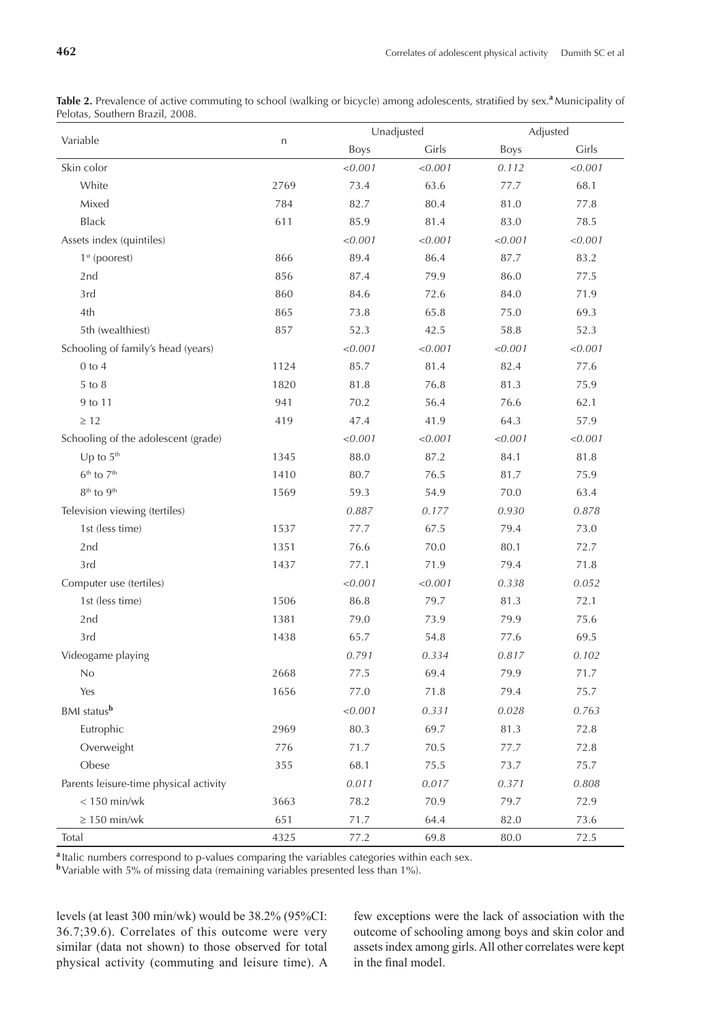|                                        |              | Unadjusted |         |             | Adjusted |  |
|----------------------------------------|--------------|------------|---------|-------------|----------|--|
| Variable                               | $\mathsf{n}$ | Boys       | Girls   | <b>Boys</b> | Girls    |  |
| Skin color                             |              | < 0.001    | < 0.001 | 0.112       | < 0.001  |  |
| White                                  | 2769         | 73.4       | 63.6    | 77.7        | 68.1     |  |
| Mixed                                  | 784          | 82.7       | 80.4    | 81.0        | 77.8     |  |
| <b>Black</b>                           | 611          | 85.9       | 81.4    | 83.0        | 78.5     |  |
| Assets index (quintiles)               |              | < 0.001    | < 0.001 | < 0.001     | < 0.001  |  |
| $1st$ (poorest)                        | 866          | 89.4       | 86.4    | 87.7        | 83.2     |  |
| 2nd                                    | 856          | 87.4       | 79.9    | 86.0        | 77.5     |  |
| 3rd                                    | 860          | 84.6       | 72.6    | 84.0        | 71.9     |  |
| 4th                                    | 865          | 73.8       | 65.8    | 75.0        | 69.3     |  |
| 5th (wealthiest)                       | 857          | 52.3       | 42.5    | 58.8        | 52.3     |  |
| Schooling of family's head (years)     |              | < 0.001    | < 0.001 | < 0.001     | < 0.001  |  |
| $0$ to $4$                             | 1124         | 85.7       | 81.4    | 82.4        | 77.6     |  |
| 5 to 8                                 | 1820         | 81.8       | 76.8    | 81.3        | 75.9     |  |
| 9 to 11                                | 941          | 70.2       | 56.4    | 76.6        | 62.1     |  |
| $\geq 12$                              | 419          | 47.4       | 41.9    | 64.3        | 57.9     |  |
| Schooling of the adolescent (grade)    |              | < 0.001    | < 0.001 | < 0.001     | < 0.001  |  |
| Up to $5th$                            | 1345         | 88.0       | 87.2    | 84.1        | 81.8     |  |
| $6th$ to $7th$                         | 1410         | 80.7       | 76.5    | 81.7        | 75.9     |  |
| 8 <sup>th</sup> to 9 <sup>th</sup>     | 1569         | 59.3       | 54.9    | 70.0        | 63.4     |  |
| Television viewing (tertiles)          |              | 0.887      | 0.177   | 0.930       | 0.878    |  |
| 1st (less time)                        | 1537         | 77.7       | 67.5    | 79.4        | 73.0     |  |
| 2nd                                    | 1351         | 76.6       | 70.0    | 80.1        | 72.7     |  |
| 3rd                                    | 1437         | 77.1       | 71.9    | 79.4        | 71.8     |  |
| Computer use (tertiles)                |              | < 0.001    | < 0.001 | 0.338       | 0.052    |  |
| 1st (less time)                        | 1506         | 86.8       | 79.7    | 81.3        | 72.1     |  |
| 2nd                                    | 1381         | 79.0       | 73.9    | 79.9        | 75.6     |  |
| 3rd                                    | 1438         | 65.7       | 54.8    | 77.6        | 69.5     |  |
| Videogame playing                      |              | 0.791      | 0.334   | 0.817       | 0.102    |  |
| No                                     | 2668         | 77.5       | 69.4    | 79.9        | 71.7     |  |
| Yes                                    | 1656         | 77.0       | 71.8    | 79.4        | 75.7     |  |
| BMI statusb                            |              | < 0.001    | 0.331   | 0.028       | 0.763    |  |
| Eutrophic                              | 2969         | 80.3       | 69.7    | 81.3        | 72.8     |  |
| Overweight                             | 776          | 71.7       | 70.5    | 77.7        | 72.8     |  |
| Obese                                  | 355          | 68.1       | 75.5    | 73.7        | 75.7     |  |
| Parents leisure-time physical activity |              | 0.011      | 0.017   | 0.371       | 0.808    |  |
| $< 150$ min/wk                         | 3663         | 78.2       | 70.9    | 79.7        | 72.9     |  |
| $\geq$ 150 min/wk                      | 651          | 71.7       | 64.4    | 82.0        | 73.6     |  |
| Total                                  | 4325         | 77.2       | 69.8    | 80.0        | 72.5     |  |

Table 2. Prevalence of active commuting to school (walking or bicycle) among adolescents, stratified by sex.<sup>a</sup> Municipality of Pelotas, Southern Brazil, 2008.

<sup>a</sup> Italic numbers correspond to p-values comparing the variables categories within each sex.

**b**Variable with 5% of missing data (remaining variables presented less than 1%).

levels (at least 300 min/wk) would be 38.2% (95%CI: 36.7;39.6). Correlates of this outcome were very similar (data not shown) to those observed for total physical activity (commuting and leisure time). A

few exceptions were the lack of association with the outcome of schooling among boys and skin color and assets index among girls. All other correlates were kept in the final model.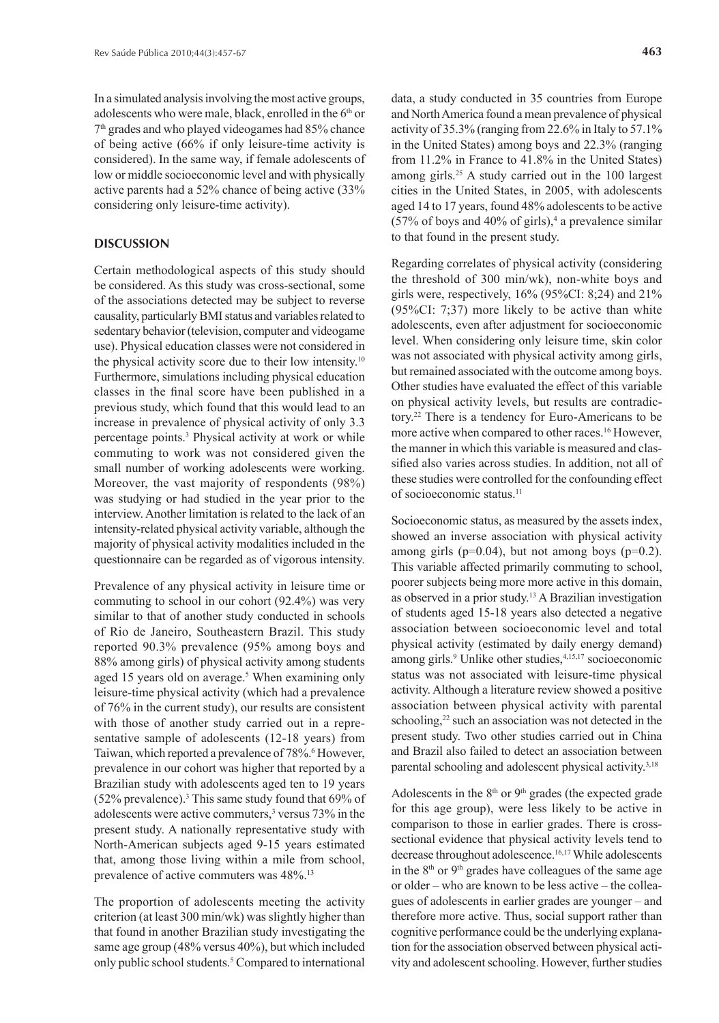In a simulated analysis involving the most active groups, adolescents who were male, black, enrolled in the 6<sup>th</sup> or  $7<sup>th</sup>$  grades and who played videogames had 85% chance of being active (66% if only leisure-time activity is considered). In the same way, if female adolescents of low or middle socioeconomic level and with physically active parents had a 52% chance of being active (33% considering only leisure-time activity).

#### **DISCUSSION**

Certain methodological aspects of this study should be considered. As this study was cross-sectional, some of the associations detected may be subject to reverse causality, particularly BMI status and variables related to sedentary behavior (television, computer and videogame use). Physical education classes were not considered in the physical activity score due to their low intensity.10 Furthermore, simulations including physical education classes in the final score have been published in a previous study, which found that this would lead to an increase in prevalence of physical activity of only 3.3 percentage points.3 Physical activity at work or while commuting to work was not considered given the small number of working adolescents were working. Moreover, the vast majority of respondents (98%) was studying or had studied in the year prior to the interview. Another limitation is related to the lack of an intensity-related physical activity variable, although the majority of physical activity modalities included in the questionnaire can be regarded as of vigorous intensity.

Prevalence of any physical activity in leisure time or commuting to school in our cohort (92.4%) was very similar to that of another study conducted in schools of Rio de Janeiro, Southeastern Brazil. This study reported 90.3% prevalence (95% among boys and 88% among girls) of physical activity among students aged 15 years old on average.<sup>5</sup> When examining only leisure-time physical activity (which had a prevalence of 76% in the current study), our results are consistent with those of another study carried out in a representative sample of adolescents (12-18 years) from Taiwan, which reported a prevalence of 78%.<sup>6</sup> However, prevalence in our cohort was higher that reported by a Brazilian study with adolescents aged ten to 19 years (52% prevalence).3 This same study found that 69% of adolescents were active commuters,<sup>3</sup> versus 73% in the present study. A nationally representative study with North-American subjects aged 9-15 years estimated that, among those living within a mile from school, prevalence of active commuters was 48%.13

The proportion of adolescents meeting the activity criterion (at least 300 min/wk) was slightly higher than that found in another Brazilian study investigating the same age group (48% versus 40%), but which included only public school students.<sup>5</sup> Compared to international data, a study conducted in 35 countries from Europe and North America found a mean prevalence of physical activity of 35.3% (ranging from 22.6% in Italy to 57.1% in the United States) among boys and 22.3% (ranging from 11.2% in France to 41.8% in the United States) among girls.25 A study carried out in the 100 largest cities in the United States, in 2005, with adolescents aged 14 to 17 years, found 48% adolescents to be active  $(57\% \text{ of boys and } 40\% \text{ of girls})$ ,<sup>4</sup> a prevalence similar to that found in the present study.

Regarding correlates of physical activity (considering the threshold of 300 min/wk), non-white boys and girls were, respectively,  $16\%$  (95%CI: 8;24) and 21% (95%CI: 7;37) more likely to be active than white adolescents, even after adjustment for socioeconomic level. When considering only leisure time, skin color was not associated with physical activity among girls, but remained associated with the outcome among boys. Other studies have evaluated the effect of this variable on physical activity levels, but results are contradictory.22 There is a tendency for Euro-Americans to be more active when compared to other races.<sup>16</sup> However, the manner in which this variable is measured and classified also varies across studies. In addition, not all of these studies were controlled for the confounding effect of socioeconomic status.11

Socioeconomic status, as measured by the assets index, showed an inverse association with physical activity among girls ( $p=0.04$ ), but not among boys ( $p=0.2$ ). This variable affected primarily commuting to school, poorer subjects being more more active in this domain, as observed in a prior study.13 A Brazilian investigation of students aged 15-18 years also detected a negative association between socioeconomic level and total physical activity (estimated by daily energy demand) among girls.<sup>9</sup> Unlike other studies,<sup>4,15,17</sup> socioeconomic status was not associated with leisure-time physical activity. Although a literature review showed a positive association between physical activity with parental schooling,<sup>22</sup> such an association was not detected in the present study. Two other studies carried out in China and Brazil also failed to detect an association between parental schooling and adolescent physical activity.3,18

Adolescents in the  $8<sup>th</sup>$  or  $9<sup>th</sup>$  grades (the expected grade for this age group), were less likely to be active in comparison to those in earlier grades. There is crosssectional evidence that physical activity levels tend to decrease throughout adolescence.<sup>16,17</sup> While adolescents in the  $8<sup>th</sup>$  or  $9<sup>th</sup>$  grades have colleagues of the same age or older – who are known to be less active – the colleagues of adolescents in earlier grades are younger – and therefore more active. Thus, social support rather than cognitive performance could be the underlying explanation for the association observed between physical activity and adolescent schooling. However, further studies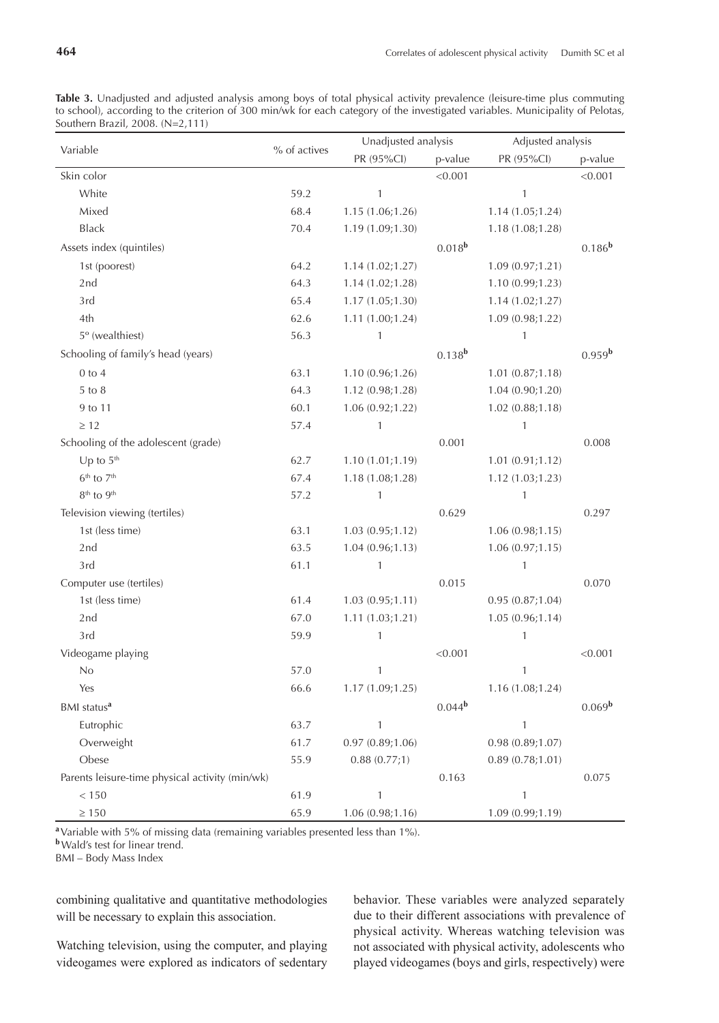**Table 3.** Unadjusted and adjusted analysis among boys of total physical activity prevalence (leisure-time plus commuting to school), according to the criterion of 300 min/wk for each category of the investigated variables. Municipality of Pelotas,

| Southern Brazil, 2008. (N=2,111)                |              |                     |             |                   |                    |
|-------------------------------------------------|--------------|---------------------|-------------|-------------------|--------------------|
| Variable                                        | % of actives | Unadjusted analysis |             | Adjusted analysis |                    |
|                                                 |              | PR (95%Cl)          | p-value     | PR (95%Cl)        | p-value            |
| Skin color                                      |              |                     | < 0.001     |                   | < 0.001            |
| White                                           | 59.2         | $\mathbf{1}$        |             | $\mathbf{1}$      |                    |
| Mixed                                           | 68.4         | 1.15(1.06;1.26)     |             | 1.14(1.05;1.24)   |                    |
| <b>Black</b>                                    | 70.4         | 1.19(1.09;1.30)     |             | 1.18(1.08;1.28)   |                    |
| Assets index (quintiles)                        |              |                     | $0.018^{b}$ |                   | $0.186^{b}$        |
| 1st (poorest)                                   | 64.2         | 1.14(1.02;1.27)     |             | 1.09(0.97;1.21)   |                    |
| 2nd                                             | 64.3         | 1.14(1.02;1.28)     |             | 1.10(0.99;1.23)   |                    |
| 3rd                                             | 65.4         | 1.17(1.05;1.30)     |             | 1.14(1.02;1.27)   |                    |
| 4th                                             | 62.6         | 1.11 (1.00;1.24)    |             | 1.09 (0.98;1.22)  |                    |
| 5° (wealthiest)                                 | 56.3         | 1                   |             | $\mathbf{1}$      |                    |
| Schooling of family's head (years)              |              |                     | $0.138^{b}$ |                   | 0.959 <sup>b</sup> |
| $0$ to $4$                                      | 63.1         | 1.10(0.96;1.26)     |             | 1.01(0.87;1.18)   |                    |
| $5$ to $8$                                      | 64.3         | 1.12(0.98;1.28)     |             | 1.04(0.90;1.20)   |                    |
| 9 to 11                                         | 60.1         | 1.06(0.92;1.22)     |             | 1.02(0.88;1.18)   |                    |
| $\geq 12$                                       | 57.4         | 1                   |             | 1                 |                    |
| Schooling of the adolescent (grade)             |              |                     | 0.001       |                   | 0.008              |
| Up to $5th$                                     | 62.7         | 1.10(1.01;1.19)     |             | 1.01(0.91;1.12)   |                    |
| $6th$ to $7th$                                  | 67.4         | 1.18(1.08;1.28)     |             | 1.12(1.03;1.23)   |                    |
| 8 <sup>th</sup> to 9 <sup>th</sup>              | 57.2         | 1                   |             | $\mathbf{1}$      |                    |
| Television viewing (tertiles)                   |              |                     | 0.629       |                   | 0.297              |
| 1st (less time)                                 | 63.1         | 1.03(0.95;1.12)     |             | 1.06(0.98;1.15)   |                    |
| 2nd                                             | 63.5         | 1.04(0.96;1.13)     |             | 1.06(0.97;1.15)   |                    |
| 3rd                                             | 61.1         | 1                   |             | 1                 |                    |
| Computer use (tertiles)                         |              |                     | 0.015       |                   | 0.070              |
| 1st (less time)                                 | 61.4         | 1.03(0.95;1.11)     |             | 0.95(0.87;1.04)   |                    |
| 2nd                                             | 67.0         | 1.11(1.03;1.21)     |             | 1.05(0.96;1.14)   |                    |
| 3rd                                             | 59.9         | 1                   |             | 1                 |                    |
| Videogame playing                               |              |                     | < 0.001     |                   | < 0.001            |
| No                                              | 57.0         | 1                   |             | $\mathbf{1}$      |                    |
| Yes                                             | 66.6         | 1.17(1.09;1.25)     |             | 1.16(1.08;1.24)   |                    |
| BMI status <sup>a</sup>                         |              |                     | $0.044^{b}$ |                   | 0.069 <sup>b</sup> |
| Eutrophic                                       | 63.7         | 1                   |             | $\mathbf{1}$      |                    |
| Overweight                                      | 61.7         | 0.97(0.89;1.06)     |             | 0.98(0.89;1.07)   |                    |
| Obese                                           | 55.9         | 0.88(0.77;1)        |             | 0.89(0.78;1.01)   |                    |
| Parents leisure-time physical activity (min/wk) |              |                     | 0.163       |                   | 0.075              |
| < 150                                           | 61.9         | $\mathbf{1}$        |             | $\mathbf{1}$      |                    |
| $\geq 150$                                      | 65.9         | 1.06(0.98;1.16)     |             | 1.09(0.99;1.19)   |                    |

**<sup>a</sup>**Variable with 5% of missing data (remaining variables presented less than 1%).

**b**Wald's test for linear trend.

BMI – Body Mass Index

combining qualitative and quantitative methodologies will be necessary to explain this association.

Watching television, using the computer, and playing videogames were explored as indicators of sedentary behavior. These variables were analyzed separately due to their different associations with prevalence of physical activity. Whereas watching television was not associated with physical activity, adolescents who played videogames (boys and girls, respectively) were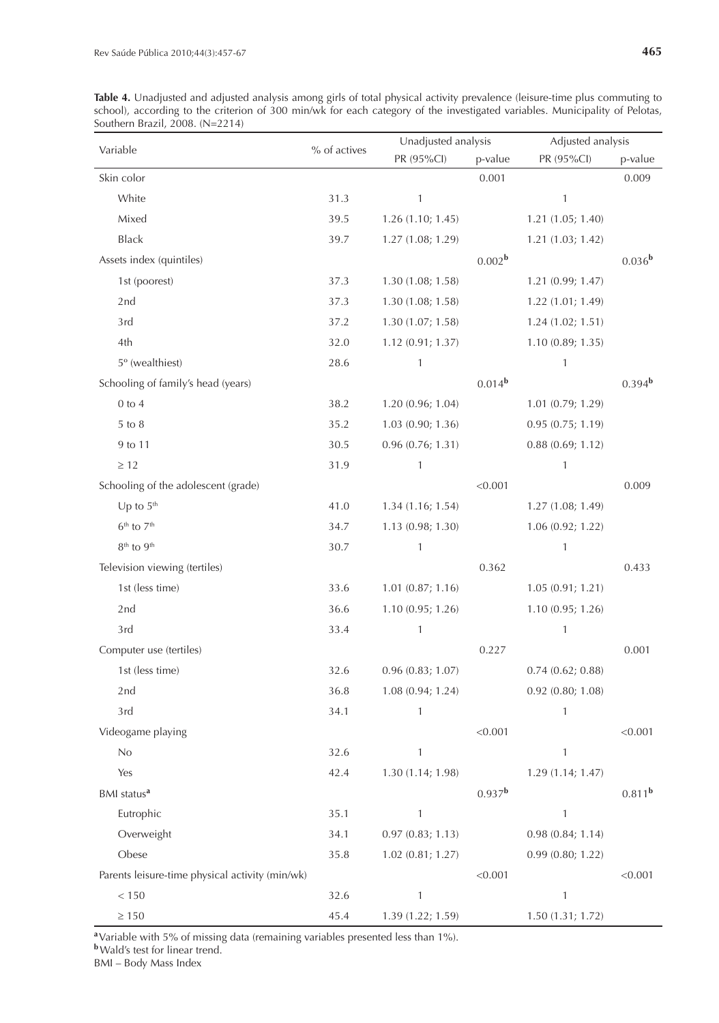**Table 4.** Unadjusted and adjusted analysis among girls of total physical activity prevalence (leisure-time plus commuting to school), according to the criterion of 300 min/wk for each category of the investigated variables. Municipality of Pelotas, Southern Brazil, 2008. (N=2214)

| Variable                                        | % of actives | Unadjusted analysis |                    | Adjusted analysis     |                    |
|-------------------------------------------------|--------------|---------------------|--------------------|-----------------------|--------------------|
|                                                 |              | PR (95%Cl)          | p-value            | PR (95%Cl)            | p-value            |
| Skin color                                      |              |                     | 0.001              |                       | 0.009              |
| White                                           | 31.3         | $\mathbf{1}$        |                    | $\mathbf{1}$          |                    |
| Mixed                                           | 39.5         | 1.26(1.10; 1.45)    |                    | 1.21 (1.05; 1.40)     |                    |
| <b>Black</b>                                    | 39.7         | 1.27(1.08; 1.29)    |                    | 1.21(1.03; 1.42)      |                    |
| Assets index (quintiles)                        |              |                     | 0.002 <sup>b</sup> |                       | $0.036^{b}$        |
| 1st (poorest)                                   | 37.3         | 1.30(1.08; 1.58)    |                    | 1.21(0.99; 1.47)      |                    |
| 2nd                                             | 37.3         | 1.30(1.08; 1.58)    |                    | 1.22(1.01; 1.49)      |                    |
| 3rd                                             | 37.2         | 1.30(1.07; 1.58)    |                    | 1.24(1.02; 1.51)      |                    |
| 4th                                             | 32.0         | 1.12(0.91; 1.37)    |                    | 1.10(0.89; 1.35)      |                    |
| 5° (wealthiest)                                 | 28.6         | 1                   |                    | 1                     |                    |
| Schooling of family's head (years)              |              |                     | $0.014^{b}$        |                       | $0.394^{b}$        |
| $0$ to $4$                                      | 38.2         | 1.20(0.96; 1.04)    |                    | 1.01 (0.79; 1.29)     |                    |
| $5$ to $8$                                      | 35.2         | 1.03(0.90; 1.36)    |                    | 0.95(0.75; 1.19)      |                    |
| 9 to 11                                         | 30.5         | 0.96(0.76; 1.31)    |                    | 0.88(0.69; 1.12)      |                    |
| $\geq 12$                                       | 31.9         | $\mathbf{1}$        |                    | $\mathbf{1}$          |                    |
| Schooling of the adolescent (grade)             |              |                     | < 0.001            |                       | 0.009              |
| Up to $5th$                                     | 41.0         | 1.34(1.16; 1.54)    |                    | 1.27(1.08; 1.49)      |                    |
| $6th$ to $7th$                                  | 34.7         | 1.13 (0.98; 1.30)   |                    | 1.06(0.92; 1.22)      |                    |
| 8 <sup>th</sup> to 9 <sup>th</sup>              | 30.7         | 1                   |                    | 1                     |                    |
| Television viewing (tertiles)                   |              |                     | 0.362              |                       | 0.433              |
| 1st (less time)                                 | 33.6         | 1.01(0.87; 1.16)    |                    | 1.05(0.91; 1.21)      |                    |
| 2nd                                             | 36.6         | 1.10(0.95; 1.26)    |                    | 1.10(0.95; 1.26)      |                    |
| 3rd                                             | 33.4         | 1                   |                    | 1                     |                    |
| Computer use (tertiles)                         |              |                     | 0.227              |                       | 0.001              |
| 1st (less time)                                 | 32.6         | 0.96(0.83; 1.07)    |                    | 0.74(0.62; 0.88)      |                    |
| 2nd                                             | 36.8         | 1.08(0.94; 1.24)    |                    | $0.92$ $(0.80; 1.08)$ |                    |
| 3rd                                             | 34.1         | 1                   |                    | 1                     |                    |
| Videogame playing                               |              |                     | < 0.001            |                       | < 0.001            |
| No                                              | 32.6         | $\mathbf{1}$        |                    | 1                     |                    |
| Yes                                             | 42.4         | 1.30 (1.14; 1.98)   |                    | 1.29(1.14; 1.47)      |                    |
| BMI status <sup>a</sup>                         |              |                     | 0.937 <sup>b</sup> |                       | 0.811 <sup>b</sup> |
| Eutrophic                                       | 35.1         | $\mathbf{1}$        |                    | $\mathbf{1}$          |                    |
| Overweight                                      | 34.1         | 0.97(0.83; 1.13)    |                    | 0.98(0.84; 1.14)      |                    |
| Obese                                           | 35.8         | 1.02(0.81; 1.27)    |                    | 0.99(0.80; 1.22)      |                    |
| Parents leisure-time physical activity (min/wk) |              |                     | < 0.001            |                       | < 0.001            |
| $<150\,$                                        | 32.6         | $\mathbf{1}$        |                    | $\mathbf{1}$          |                    |
| $\geq 150$                                      | 45.4         | 1.39 (1.22; 1.59)   |                    | 1.50 (1.31; 1.72)     |                    |

**<sup>a</sup>**Variable with 5% of missing data (remaining variables presented less than 1%). **<sup>b</sup>**Wald's test for linear trend.

BMI – Body Mass Index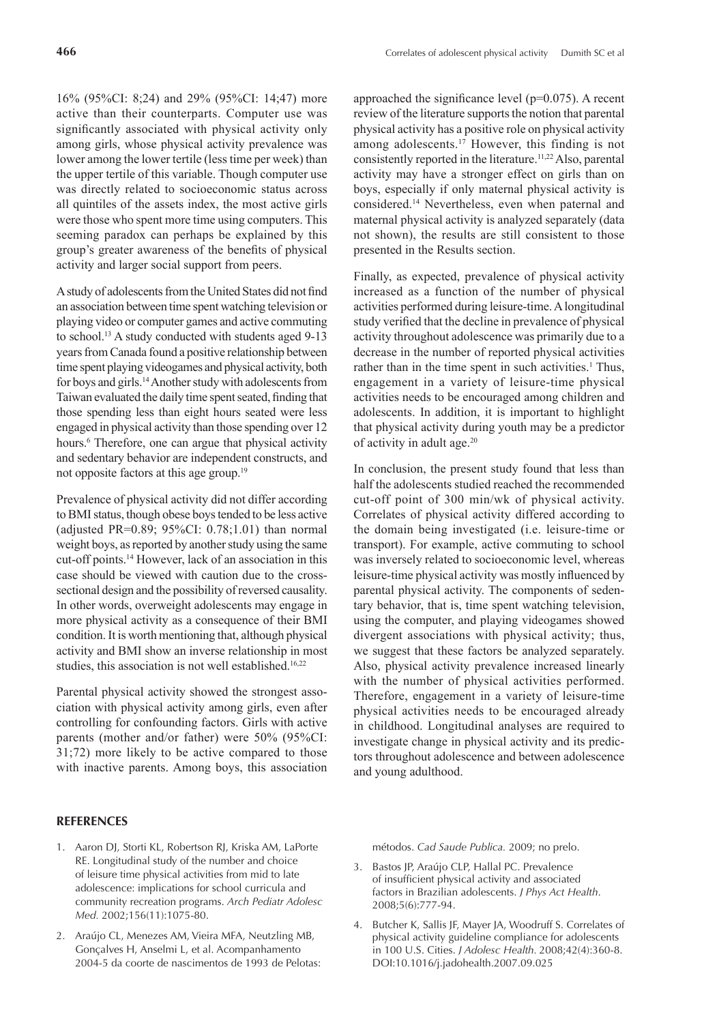16% (95%CI: 8;24) and 29% (95%CI: 14;47) more active than their counterparts. Computer use was significantly associated with physical activity only among girls, whose physical activity prevalence was lower among the lower tertile (less time per week) than the upper tertile of this variable. Though computer use was directly related to socioeconomic status across all quintiles of the assets index, the most active girls were those who spent more time using computers. This seeming paradox can perhaps be explained by this group's greater awareness of the benefits of physical activity and larger social support from peers.

A study of adolescents from the United States did not find an association between time spent watching television or playing video or computer games and active commuting to school.13 A study conducted with students aged 9-13 years from Canada found a positive relationship between time spent playing videogames and physical activity, both for boys and girls.<sup>14</sup> Another study with adolescents from Taiwan evaluated the daily time spent seated, finding that those spending less than eight hours seated were less engaged in physical activity than those spending over 12 hours.<sup>6</sup> Therefore, one can argue that physical activity and sedentary behavior are independent constructs, and not opposite factors at this age group.19

Prevalence of physical activity did not differ according to BMI status, though obese boys tended to be less active (adjusted PR=0.89; 95%CI: 0.78;1.01) than normal weight boys, as reported by another study using the same cut-off points.14 However, lack of an association in this case should be viewed with caution due to the crosssectional design and the possibility of reversed causality. In other words, overweight adolescents may engage in more physical activity as a consequence of their BMI condition. It is worth mentioning that, although physical activity and BMI show an inverse relationship in most studies, this association is not well established.<sup>16,22</sup>

Parental physical activity showed the strongest association with physical activity among girls, even after controlling for confounding factors. Girls with active parents (mother and/or father) were 50% (95%CI: 31;72) more likely to be active compared to those with inactive parents. Among boys, this association approached the significance level  $(p=0.075)$ . A recent review of the literature supports the notion that parental physical activity has a positive role on physical activity among adolescents.17 However, this finding is not consistently reported in the literature.11,22 Also, parental activity may have a stronger effect on girls than on boys, especially if only maternal physical activity is considered.14 Nevertheless, even when paternal and maternal physical activity is analyzed separately (data not shown), the results are still consistent to those presented in the Results section.

Finally, as expected, prevalence of physical activity increased as a function of the number of physical activities performed during leisure-time. A longitudinal study verified that the decline in prevalence of physical activity throughout adolescence was primarily due to a decrease in the number of reported physical activities rather than in the time spent in such activities.<sup>1</sup> Thus, engagement in a variety of leisure-time physical activities needs to be encouraged among children and adolescents. In addition, it is important to highlight that physical activity during youth may be a predictor of activity in adult age.20

In conclusion, the present study found that less than half the adolescents studied reached the recommended cut-off point of 300 min/wk of physical activity. Correlates of physical activity differed according to the domain being investigated (i.e. leisure-time or transport). For example, active commuting to school was inversely related to socioeconomic level, whereas leisure-time physical activity was mostly influenced by parental physical activity. The components of sedentary behavior, that is, time spent watching television, using the computer, and playing videogames showed divergent associations with physical activity; thus, we suggest that these factors be analyzed separately. Also, physical activity prevalence increased linearly with the number of physical activities performed. Therefore, engagement in a variety of leisure-time physical activities needs to be encouraged already in childhood. Longitudinal analyses are required to investigate change in physical activity and its predictors throughout adolescence and between adolescence and young adulthood.

#### **REFERENCES**

- 1. Aaron DJ, Storti KL, Robertson RJ, Kriska AM, LaPorte RE. Longitudinal study of the number and choice of leisure time physical activities from mid to late adolescence: implications for school curricula and community recreation programs. *Arch Pediatr Adolesc Med.* 2002;156(11):1075-80.
- 2. Araújo CL, Menezes AM, Vieira MFA, Neutzling MB, Gonçalves H, Anselmi L, et al. Acompanhamento 2004-5 da coorte de nascimentos de 1993 de Pelotas:

métodos. *Cad Saude Publica.* 2009; no prelo.

- 3. Bastos JP, Araújo CLP, Hallal PC. Prevalence of insufficient physical activity and associated factors in Brazilian adolescents. *J Phys Act Health*. 2008;5(6):777-94.
- 4. Butcher K, Sallis JF, Mayer JA, Woodruff S. Correlates of physical activity guideline compliance for adolescents in 100 U.S. Cities. *J Adolesc Health.* 2008;42(4):360-8. DOI:10.1016/j.jadohealth.2007.09.025